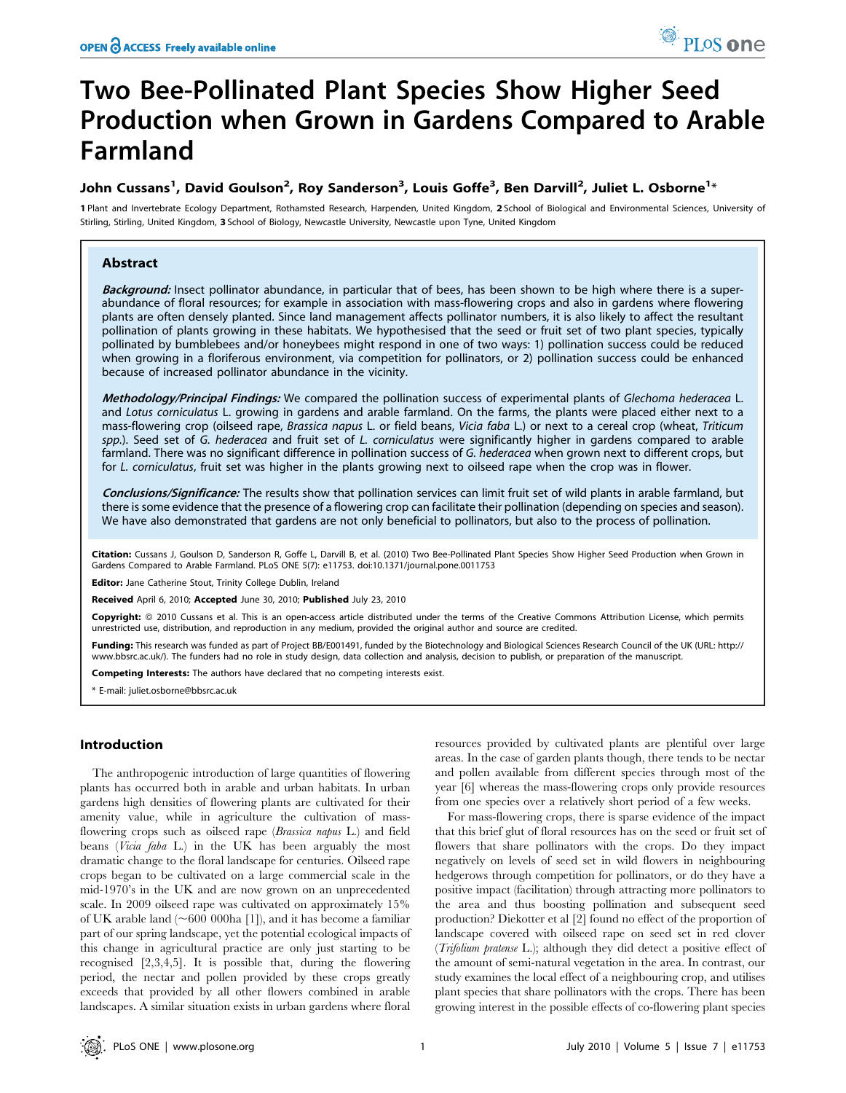# Two Bee-Pollinated Plant Species Show Higher Seed Production when Grown in Gardens Compared to Arable Farmland

# John Cussans<sup>1</sup>, David Goulson<sup>2</sup>, Roy Sanderson<sup>3</sup>, Louis Goffe<sup>3</sup>, Ben Darvill<sup>2</sup>, Juliet L. Osborne<sup>1</sup>\*

1 Plant and Invertebrate Ecology Department, Rothamsted Research, Harpenden, United Kingdom, 2 School of Biological and Environmental Sciences, University of Stirling, Stirling, United Kingdom, 3 School of Biology, Newcastle University, Newcastle upon Tyne, United Kingdom

# Abstract

Background: Insect pollinator abundance, in particular that of bees, has been shown to be high where there is a superabundance of floral resources; for example in association with mass-flowering crops and also in gardens where flowering plants are often densely planted. Since land management affects pollinator numbers, it is also likely to affect the resultant pollination of plants growing in these habitats. We hypothesised that the seed or fruit set of two plant species, typically pollinated by bumblebees and/or honeybees might respond in one of two ways: 1) pollination success could be reduced when growing in a floriferous environment, via competition for pollinators, or 2) pollination success could be enhanced because of increased pollinator abundance in the vicinity.

Methodology/Principal Findings: We compared the pollination success of experimental plants of Glechoma hederacea L. and Lotus corniculatus L. growing in gardens and arable farmland. On the farms, the plants were placed either next to a mass-flowering crop (oilseed rape, Brassica napus L. or field beans, Vicia faba L.) or next to a cereal crop (wheat, Triticum spp.). Seed set of G. hederacea and fruit set of L. corniculatus were significantly higher in gardens compared to arable farmland. There was no significant difference in pollination success of G. hederacea when grown next to different crops, but for L. corniculatus, fruit set was higher in the plants growing next to oilseed rape when the crop was in flower.

Conclusions/Significance: The results show that pollination services can limit fruit set of wild plants in arable farmland, but there is some evidence that the presence of a flowering crop can facilitate their pollination (depending on species and season). We have also demonstrated that gardens are not only beneficial to pollinators, but also to the process of pollination.

Citation: Cussans J, Goulson D, Sanderson R, Goffe L, Darvill B, et al. (2010) Two Bee-Pollinated Plant Species Show Higher Seed Production when Grown in Gardens Compared to Arable Farmland. PLoS ONE 5(7): e11753. doi:10.1371/journal.pone.0011753

Editor: Jane Catherine Stout, Trinity College Dublin, Ireland

Received April 6, 2010; Accepted June 30, 2010; Published July 23, 2010

Copyright: © 2010 Cussans et al. This is an open-access article distributed under the terms of the Creative Commons Attribution License, which permits unrestricted use, distribution, and reproduction in any medium, provided the original author and source are credited.

Funding: This research was funded as part of Project BB/E001491, funded by the Biotechnology and Biological Sciences Research Council of the UK (URL: http:// www.bbsrc.ac.uk/). The funders had no role in study design, data collection and analysis, decision to publish, or preparation of the manuscript.

Competing Interests: The authors have declared that no competing interests exist.

\* E-mail: juliet.osborne@bbsrc.ac.uk

## Introduction

The anthropogenic introduction of large quantities of flowering plants has occurred both in arable and urban habitats. In urban gardens high densities of flowering plants are cultivated for their amenity value, while in agriculture the cultivation of massflowering crops such as oilseed rape (Brassica napus L.) and field beans (Vicia faba L.) in the UK has been arguably the most dramatic change to the floral landscape for centuries. Oilseed rape crops began to be cultivated on a large commercial scale in the mid-1970's in the UK and are now grown on an unprecedented scale. In 2009 oilseed rape was cultivated on approximately 15% of UK arable land  $(\sim 600\ 000$ ha [1]), and it has become a familiar part of our spring landscape, yet the potential ecological impacts of this change in agricultural practice are only just starting to be recognised [2,3,4,5]. It is possible that, during the flowering period, the nectar and pollen provided by these crops greatly exceeds that provided by all other flowers combined in arable landscapes. A similar situation exists in urban gardens where floral resources provided by cultivated plants are plentiful over large areas. In the case of garden plants though, there tends to be nectar and pollen available from different species through most of the year [6] whereas the mass-flowering crops only provide resources from one species over a relatively short period of a few weeks.

For mass-flowering crops, there is sparse evidence of the impact that this brief glut of floral resources has on the seed or fruit set of flowers that share pollinators with the crops. Do they impact negatively on levels of seed set in wild flowers in neighbouring hedgerows through competition for pollinators, or do they have a positive impact (facilitation) through attracting more pollinators to the area and thus boosting pollination and subsequent seed production? Diekotter et al [2] found no effect of the proportion of landscape covered with oilseed rape on seed set in red clover (Trifolium pratense L.); although they did detect a positive effect of the amount of semi-natural vegetation in the area. In contrast, our study examines the local effect of a neighbouring crop, and utilises plant species that share pollinators with the crops. There has been growing interest in the possible effects of co-flowering plant species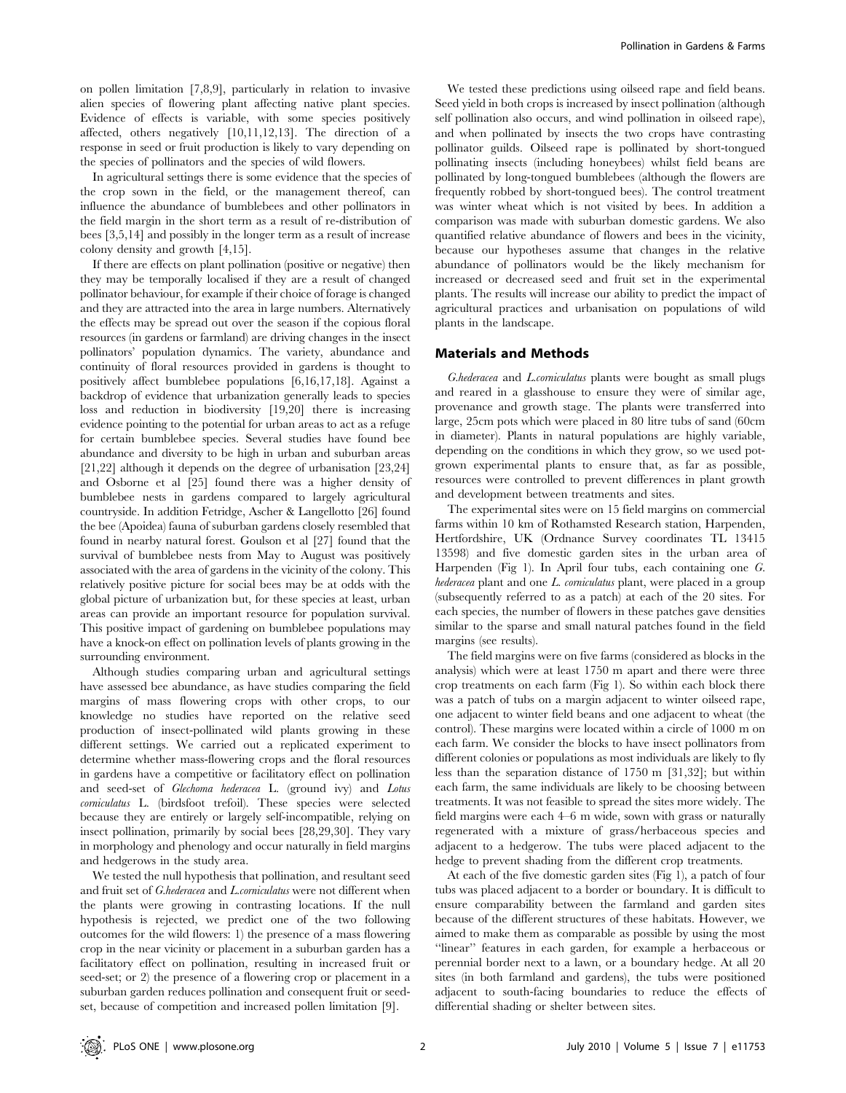on pollen limitation [7,8,9], particularly in relation to invasive alien species of flowering plant affecting native plant species. Evidence of effects is variable, with some species positively affected, others negatively [10,11,12,13]. The direction of a response in seed or fruit production is likely to vary depending on the species of pollinators and the species of wild flowers.

In agricultural settings there is some evidence that the species of the crop sown in the field, or the management thereof, can influence the abundance of bumblebees and other pollinators in the field margin in the short term as a result of re-distribution of bees [3,5,14] and possibly in the longer term as a result of increase colony density and growth [4,15].

If there are effects on plant pollination (positive or negative) then they may be temporally localised if they are a result of changed pollinator behaviour, for example if their choice of forage is changed and they are attracted into the area in large numbers. Alternatively the effects may be spread out over the season if the copious floral resources (in gardens or farmland) are driving changes in the insect pollinators' population dynamics. The variety, abundance and continuity of floral resources provided in gardens is thought to positively affect bumblebee populations [6,16,17,18]. Against a backdrop of evidence that urbanization generally leads to species loss and reduction in biodiversity [19,20] there is increasing evidence pointing to the potential for urban areas to act as a refuge for certain bumblebee species. Several studies have found bee abundance and diversity to be high in urban and suburban areas [21,22] although it depends on the degree of urbanisation [23,24] and Osborne et al [25] found there was a higher density of bumblebee nests in gardens compared to largely agricultural countryside. In addition Fetridge, Ascher & Langellotto [26] found the bee (Apoidea) fauna of suburban gardens closely resembled that found in nearby natural forest. Goulson et al [27] found that the survival of bumblebee nests from May to August was positively associated with the area of gardens in the vicinity of the colony. This relatively positive picture for social bees may be at odds with the global picture of urbanization but, for these species at least, urban areas can provide an important resource for population survival. This positive impact of gardening on bumblebee populations may have a knock-on effect on pollination levels of plants growing in the surrounding environment.

Although studies comparing urban and agricultural settings have assessed bee abundance, as have studies comparing the field margins of mass flowering crops with other crops, to our knowledge no studies have reported on the relative seed production of insect-pollinated wild plants growing in these different settings. We carried out a replicated experiment to determine whether mass-flowering crops and the floral resources in gardens have a competitive or facilitatory effect on pollination and seed-set of *Glechoma hederacea* L. (ground ivy) and *Lotus* corniculatus L. (birdsfoot trefoil). These species were selected because they are entirely or largely self-incompatible, relying on insect pollination, primarily by social bees [28,29,30]. They vary in morphology and phenology and occur naturally in field margins and hedgerows in the study area.

We tested the null hypothesis that pollination, and resultant seed and fruit set of G.hederacea and L.corniculatus were not different when the plants were growing in contrasting locations. If the null hypothesis is rejected, we predict one of the two following outcomes for the wild flowers: 1) the presence of a mass flowering crop in the near vicinity or placement in a suburban garden has a facilitatory effect on pollination, resulting in increased fruit or seed-set; or 2) the presence of a flowering crop or placement in a suburban garden reduces pollination and consequent fruit or seedset, because of competition and increased pollen limitation [9].

We tested these predictions using oilseed rape and field beans. Seed yield in both crops is increased by insect pollination (although self pollination also occurs, and wind pollination in oilseed rape), and when pollinated by insects the two crops have contrasting pollinator guilds. Oilseed rape is pollinated by short-tongued pollinating insects (including honeybees) whilst field beans are pollinated by long-tongued bumblebees (although the flowers are frequently robbed by short-tongued bees). The control treatment was winter wheat which is not visited by bees. In addition a comparison was made with suburban domestic gardens. We also quantified relative abundance of flowers and bees in the vicinity, because our hypotheses assume that changes in the relative abundance of pollinators would be the likely mechanism for increased or decreased seed and fruit set in the experimental plants. The results will increase our ability to predict the impact of agricultural practices and urbanisation on populations of wild plants in the landscape.

## Materials and Methods

G.hederacea and L.corniculatus plants were bought as small plugs and reared in a glasshouse to ensure they were of similar age, provenance and growth stage. The plants were transferred into large, 25cm pots which were placed in 80 litre tubs of sand (60cm in diameter). Plants in natural populations are highly variable, depending on the conditions in which they grow, so we used potgrown experimental plants to ensure that, as far as possible, resources were controlled to prevent differences in plant growth and development between treatments and sites.

The experimental sites were on 15 field margins on commercial farms within 10 km of Rothamsted Research station, Harpenden, Hertfordshire, UK (Ordnance Survey coordinates TL 13415 13598) and five domestic garden sites in the urban area of Harpenden (Fig 1). In April four tubs, each containing one G. hederacea plant and one L. corniculatus plant, were placed in a group (subsequently referred to as a patch) at each of the 20 sites. For each species, the number of flowers in these patches gave densities similar to the sparse and small natural patches found in the field margins (see results).

The field margins were on five farms (considered as blocks in the analysis) which were at least 1750 m apart and there were three crop treatments on each farm (Fig 1). So within each block there was a patch of tubs on a margin adjacent to winter oilseed rape, one adjacent to winter field beans and one adjacent to wheat (the control). These margins were located within a circle of 1000 m on each farm. We consider the blocks to have insect pollinators from different colonies or populations as most individuals are likely to fly less than the separation distance of 1750 m [31,32]; but within each farm, the same individuals are likely to be choosing between treatments. It was not feasible to spread the sites more widely. The field margins were each 4–6 m wide, sown with grass or naturally regenerated with a mixture of grass/herbaceous species and adjacent to a hedgerow. The tubs were placed adjacent to the hedge to prevent shading from the different crop treatments.

At each of the five domestic garden sites (Fig 1), a patch of four tubs was placed adjacent to a border or boundary. It is difficult to ensure comparability between the farmland and garden sites because of the different structures of these habitats. However, we aimed to make them as comparable as possible by using the most ''linear'' features in each garden, for example a herbaceous or perennial border next to a lawn, or a boundary hedge. At all 20 sites (in both farmland and gardens), the tubs were positioned adjacent to south-facing boundaries to reduce the effects of differential shading or shelter between sites.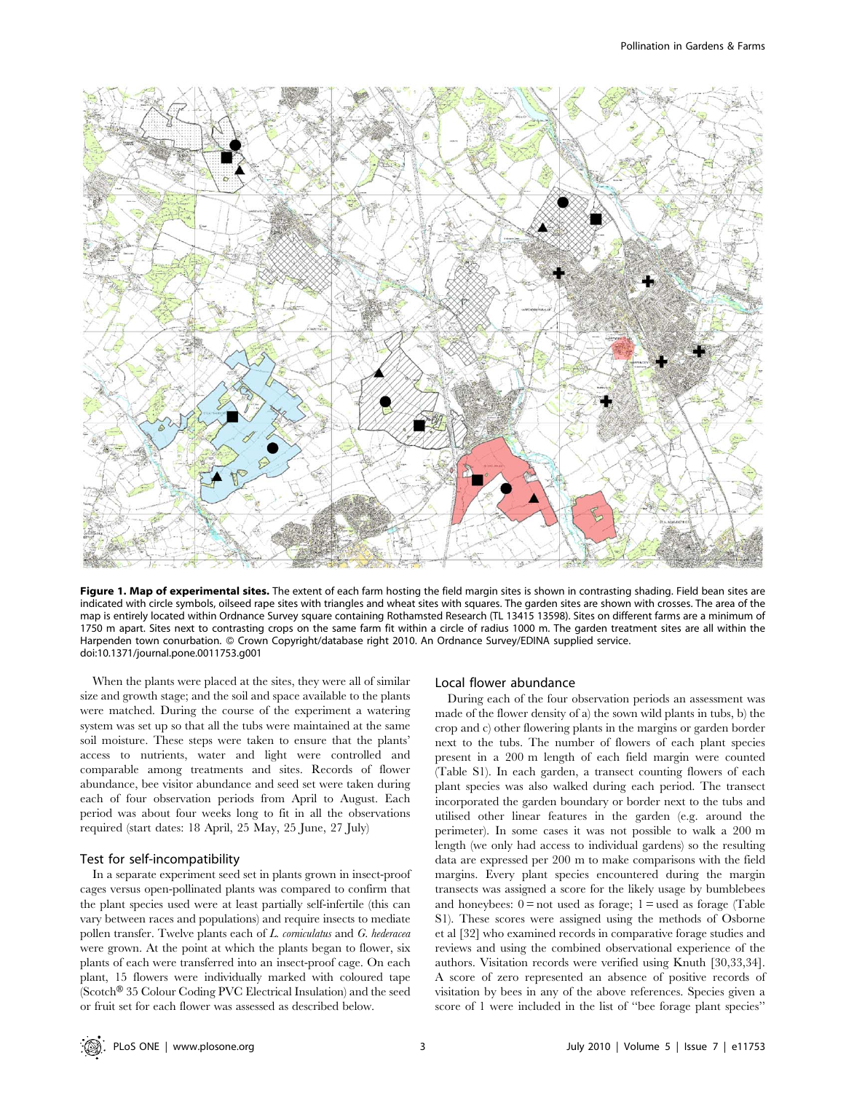

Figure 1. Map of experimental sites. The extent of each farm hosting the field margin sites is shown in contrasting shading. Field bean sites are indicated with circle symbols, oilseed rape sites with triangles and wheat sites with squares. The garden sites are shown with crosses. The area of the map is entirely located within Ordnance Survey square containing Rothamsted Research (TL 13415 13598). Sites on different farms are a minimum of 1750 m apart. Sites next to contrasting crops on the same farm fit within a circle of radius 1000 m. The garden treatment sites are all within the Harpenden town conurbation. © Crown Copyright/database right 2010. An Ordnance Survey/EDINA supplied service. doi:10.1371/journal.pone.0011753.g001

When the plants were placed at the sites, they were all of similar size and growth stage; and the soil and space available to the plants were matched. During the course of the experiment a watering system was set up so that all the tubs were maintained at the same soil moisture. These steps were taken to ensure that the plants' access to nutrients, water and light were controlled and comparable among treatments and sites. Records of flower abundance, bee visitor abundance and seed set were taken during each of four observation periods from April to August. Each period was about four weeks long to fit in all the observations required (start dates: 18 April, 25 May, 25 June, 27 July)

# Test for self-incompatibility

In a separate experiment seed set in plants grown in insect-proof cages versus open-pollinated plants was compared to confirm that the plant species used were at least partially self-infertile (this can vary between races and populations) and require insects to mediate pollen transfer. Twelve plants each of L. corniculatus and G. hederacea were grown. At the point at which the plants began to flower, six plants of each were transferred into an insect-proof cage. On each plant, 15 flowers were individually marked with coloured tape (Scotch® 35 Colour Coding PVC Electrical Insulation) and the seed or fruit set for each flower was assessed as described below.

# Local flower abundance

During each of the four observation periods an assessment was made of the flower density of a) the sown wild plants in tubs, b) the crop and c) other flowering plants in the margins or garden border next to the tubs. The number of flowers of each plant species present in a 200 m length of each field margin were counted (Table S1). In each garden, a transect counting flowers of each plant species was also walked during each period. The transect incorporated the garden boundary or border next to the tubs and utilised other linear features in the garden (e.g. around the perimeter). In some cases it was not possible to walk a 200 m length (we only had access to individual gardens) so the resulting data are expressed per 200 m to make comparisons with the field margins. Every plant species encountered during the margin transects was assigned a score for the likely usage by bumblebees and honeybees:  $0 = not used as forage; 1 = used as forage (Table 1)$ S1). These scores were assigned using the methods of Osborne et al [32] who examined records in comparative forage studies and reviews and using the combined observational experience of the authors. Visitation records were verified using Knuth [30,33,34]. A score of zero represented an absence of positive records of visitation by bees in any of the above references. Species given a score of 1 were included in the list of ''bee forage plant species''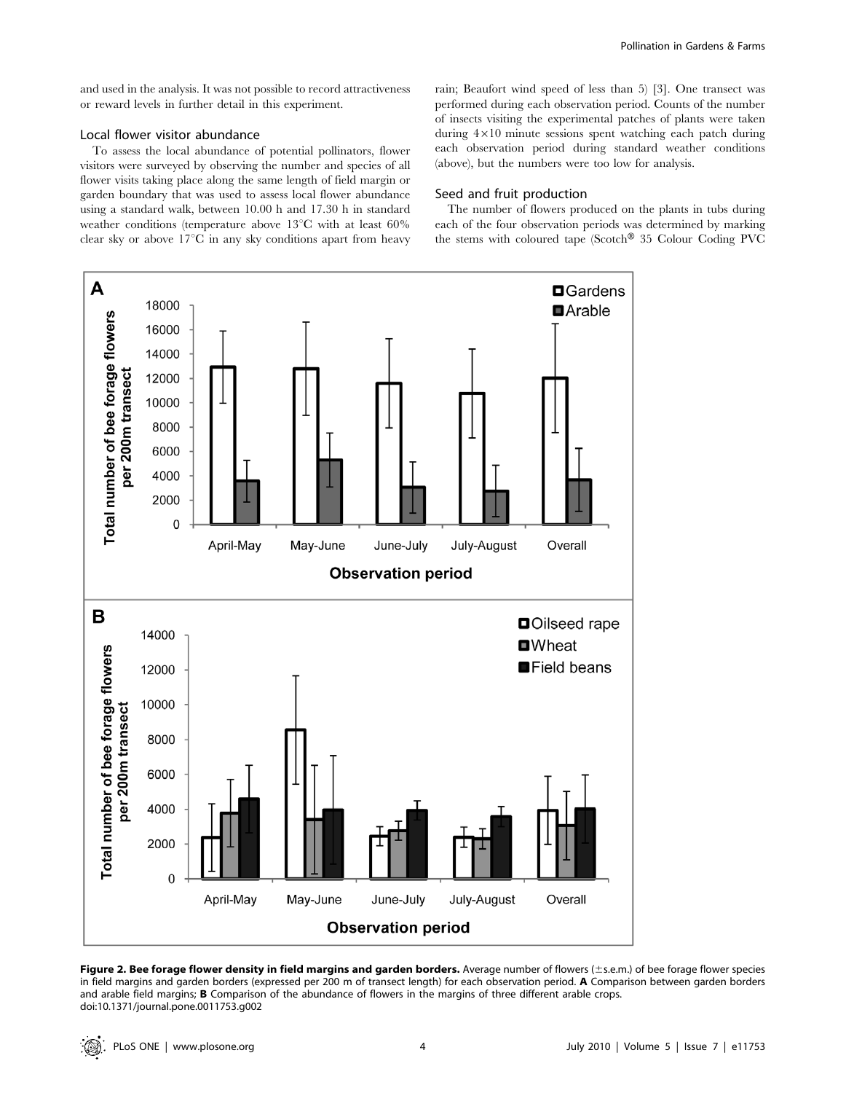and used in the analysis. It was not possible to record attractiveness or reward levels in further detail in this experiment.

### Local flower visitor abundance

To assess the local abundance of potential pollinators, flower visitors were surveyed by observing the number and species of all flower visits taking place along the same length of field margin or garden boundary that was used to assess local flower abundance using a standard walk, between 10.00 h and 17.30 h in standard weather conditions (temperature above  $13^{\circ}$ C with at least 60% clear sky or above  $17^{\circ}$ C in any sky conditions apart from heavy rain; Beaufort wind speed of less than 5) [3]. One transect was performed during each observation period. Counts of the number of insects visiting the experimental patches of plants were taken during  $4\times10$  minute sessions spent watching each patch during each observation period during standard weather conditions (above), but the numbers were too low for analysis.

# Seed and fruit production

The number of flowers produced on the plants in tubs during each of the four observation periods was determined by marking the stems with coloured tape (Scotch<sup>®</sup> 35 Colour Coding PVC



Figure 2. Bee forage flower density in field margins and garden borders. Average number of flowers ( $\pm$ s.e.m.) of bee forage flower species in field margins and garden borders (expressed per 200 m of transect length) for each observation period. A Comparison between garden borders and arable field margins; B Comparison of the abundance of flowers in the margins of three different arable crops. doi:10.1371/journal.pone.0011753.g002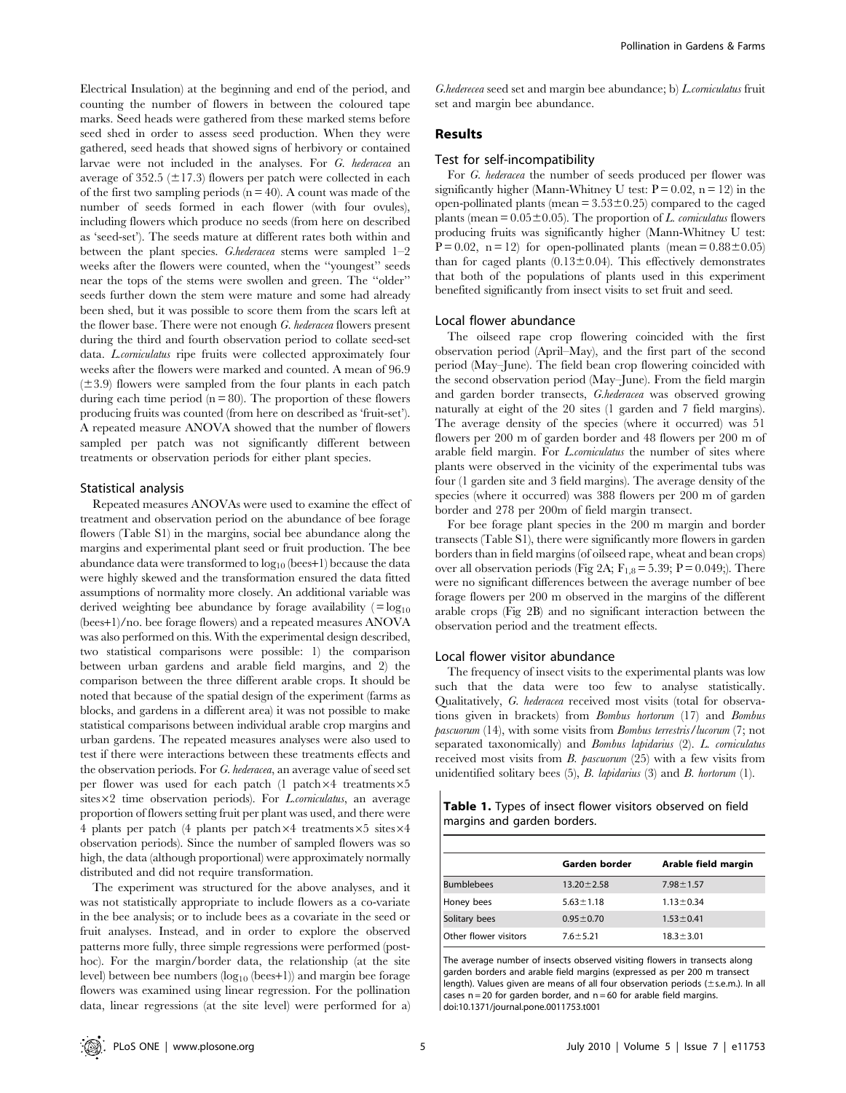Electrical Insulation) at the beginning and end of the period, and counting the number of flowers in between the coloured tape marks. Seed heads were gathered from these marked stems before seed shed in order to assess seed production. When they were gathered, seed heads that showed signs of herbivory or contained larvae were not included in the analyses. For G. hederacea an average of 352.5 ( $\pm$ 17.3) flowers per patch were collected in each of the first two sampling periods  $(n = 40)$ . A count was made of the number of seeds formed in each flower (with four ovules), including flowers which produce no seeds (from here on described as 'seed-set'). The seeds mature at different rates both within and between the plant species. G.hederacea stems were sampled 1–2 weeks after the flowers were counted, when the ''youngest'' seeds near the tops of the stems were swollen and green. The ''older'' seeds further down the stem were mature and some had already been shed, but it was possible to score them from the scars left at the flower base. There were not enough G. hederacea flowers present during the third and fourth observation period to collate seed-set data. L.corniculatus ripe fruits were collected approximately four weeks after the flowers were marked and counted. A mean of 96.9  $(\pm 3.9)$  flowers were sampled from the four plants in each patch during each time period  $(n = 80)$ . The proportion of these flowers producing fruits was counted (from here on described as 'fruit-set'). A repeated measure ANOVA showed that the number of flowers sampled per patch was not significantly different between treatments or observation periods for either plant species.

## Statistical analysis

Repeated measures ANOVAs were used to examine the effect of treatment and observation period on the abundance of bee forage flowers (Table S1) in the margins, social bee abundance along the margins and experimental plant seed or fruit production. The bee abundance data were transformed to  $log_{10}$  (bees+1) because the data were highly skewed and the transformation ensured the data fitted assumptions of normality more closely. An additional variable was derived weighting bee abundance by forage availability  $( = \log_{10}$ (bees+1)/no. bee forage flowers) and a repeated measures ANOVA was also performed on this. With the experimental design described, two statistical comparisons were possible: 1) the comparison between urban gardens and arable field margins, and 2) the comparison between the three different arable crops. It should be noted that because of the spatial design of the experiment (farms as blocks, and gardens in a different area) it was not possible to make statistical comparisons between individual arable crop margins and urban gardens. The repeated measures analyses were also used to test if there were interactions between these treatments effects and the observation periods. For G. hederacea, an average value of seed set per flower was used for each patch (1 patch $\times4$  treatments $\times5$ sites $\times2$  time observation periods). For *L.corniculatus*, an average proportion of flowers setting fruit per plant was used, and there were 4 plants per patch (4 plants per patch $\times4$  treatments $\times5$  sites $\times4$ observation periods). Since the number of sampled flowers was so high, the data (although proportional) were approximately normally distributed and did not require transformation.

The experiment was structured for the above analyses, and it was not statistically appropriate to include flowers as a co-variate in the bee analysis; or to include bees as a covariate in the seed or fruit analyses. Instead, and in order to explore the observed patterns more fully, three simple regressions were performed (posthoc). For the margin/border data, the relationship (at the site level) between bee numbers  $log_{10}$  (bees+1)) and margin bee forage flowers was examined using linear regression. For the pollination data, linear regressions (at the site level) were performed for a)

G.hederecea seed set and margin bee abundance; b) L.corniculatus fruit set and margin bee abundance.

# Results

### Test for self-incompatibility

For G. hederacea the number of seeds produced per flower was significantly higher (Mann-Whitney U test:  $P = 0.02$ ,  $n = 12$ ) in the open-pollinated plants (mean  $= 3.53 \pm 0.25$ ) compared to the caged plants (mean =  $0.05\pm0.05$ ). The proportion of L. corniculatus flowers producing fruits was significantly higher (Mann-Whitney U test:  $P = 0.02$ ,  $n = 12$ ) for open-pollinated plants (mean =  $0.88 \pm 0.05$ ) than for caged plants  $(0.13\pm0.04)$ . This effectively demonstrates that both of the populations of plants used in this experiment benefited significantly from insect visits to set fruit and seed.

#### Local flower abundance

The oilseed rape crop flowering coincided with the first observation period (April–May), and the first part of the second period (May–June). The field bean crop flowering coincided with the second observation period (May–June). From the field margin and garden border transects, G.hederacea was observed growing naturally at eight of the 20 sites (1 garden and 7 field margins). The average density of the species (where it occurred) was 51 flowers per 200 m of garden border and 48 flowers per 200 m of arable field margin. For L.corniculatus the number of sites where plants were observed in the vicinity of the experimental tubs was four (1 garden site and 3 field margins). The average density of the species (where it occurred) was 388 flowers per 200 m of garden border and 278 per 200m of field margin transect.

For bee forage plant species in the 200 m margin and border transects (Table S1), there were significantly more flowers in garden borders than in field margins (of oilseed rape, wheat and bean crops) over all observation periods (Fig 2A;  $F_{1,8} = 5.39$ ; P = 0.049;). There were no significant differences between the average number of bee forage flowers per 200 m observed in the margins of the different arable crops (Fig 2B) and no significant interaction between the observation period and the treatment effects.

# Local flower visitor abundance

The frequency of insect visits to the experimental plants was low such that the data were too few to analyse statistically. Qualitatively, G. hederacea received most visits (total for observations given in brackets) from Bombus hortorum (17) and Bombus pascuorum (14), with some visits from Bombus terrestris/lucorum (7; not separated taxonomically) and Bombus lapidarius (2). L. corniculatus received most visits from B. pascuorum (25) with a few visits from unidentified solitary bees  $(5)$ , B. lapidarius  $(3)$  and B. hortorum  $(1)$ .

| <b>Table 1.</b> Types of insect flower visitors observed on field |  |  |  |
|-------------------------------------------------------------------|--|--|--|
| margins and garden borders.                                       |  |  |  |

|                       | Garden border    | Arable field margin |
|-----------------------|------------------|---------------------|
| <b>Bumblebees</b>     | $13.20 \pm 2.58$ | $7.98 \pm 1.57$     |
| Honey bees            | $5.63 \pm 1.18$  | $1.13 \pm 0.34$     |
| Solitary bees         | $0.95 \pm 0.70$  | $1.53 \pm 0.41$     |
| Other flower visitors | $7.6 \pm 5.21$   | $18.3 \pm 3.01$     |

The average number of insects observed visiting flowers in transects along garden borders and arable field margins (expressed as per 200 m transect length). Values given are means of all four observation periods ( $\pm$ s.e.m.). In all cases  $n = 20$  for garden border, and  $n = 60$  for arable field margins. doi:10.1371/journal.pone.0011753.t001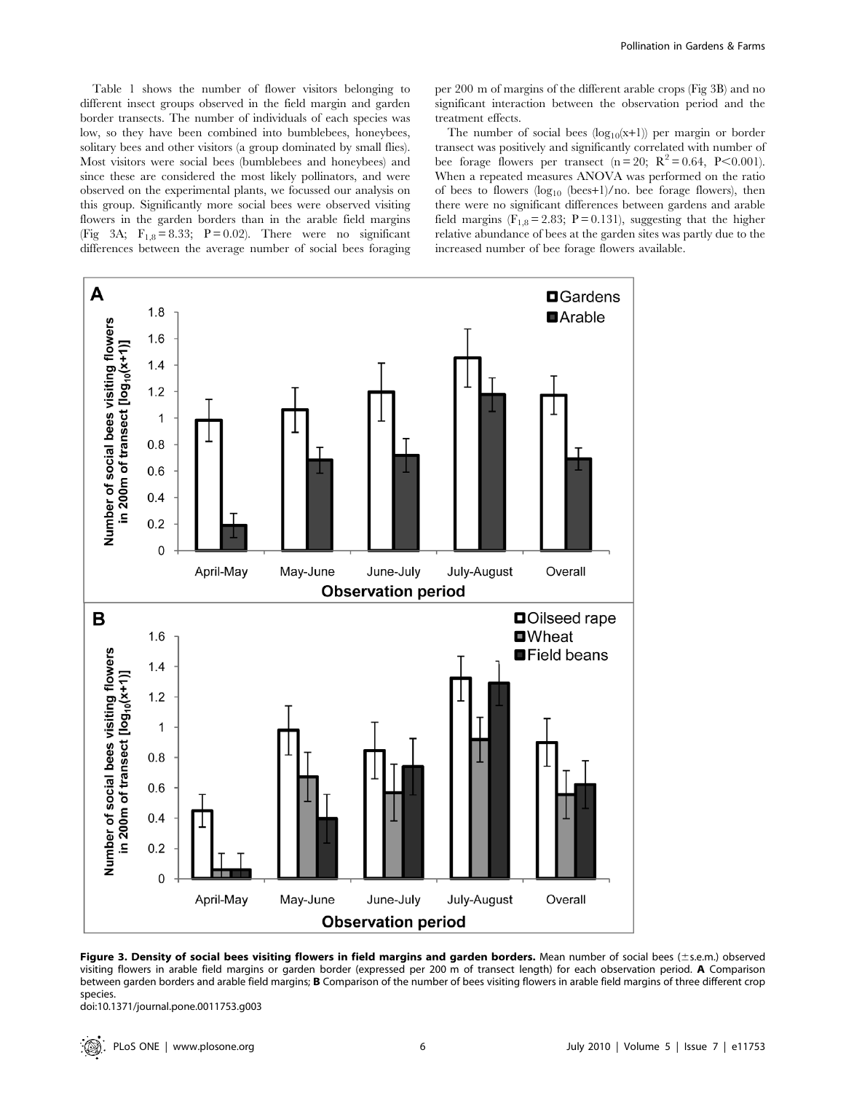Table 1 shows the number of flower visitors belonging to different insect groups observed in the field margin and garden border transects. The number of individuals of each species was low, so they have been combined into bumblebees, honeybees, solitary bees and other visitors (a group dominated by small flies). Most visitors were social bees (bumblebees and honeybees) and since these are considered the most likely pollinators, and were observed on the experimental plants, we focussed our analysis on this group. Significantly more social bees were observed visiting flowers in the garden borders than in the arable field margins (Fig 3A;  $F_{1,8} = 8.33$ ; P = 0.02). There were no significant differences between the average number of social bees foraging per 200 m of margins of the different arable crops (Fig 3B) and no significant interaction between the observation period and the treatment effects.

The number of social bees  $(log_{10}(x+1))$  per margin or border transect was positively and significantly correlated with number of bee forage flowers per transect (n = 20;  $R^2$  = 0.64, P<0.001). When a repeated measures ANOVA was performed on the ratio of bees to flowers  $(\log_{10}$  (bees+1)/no. bee forage flowers), then there were no significant differences between gardens and arable field margins  $(F_{1,8} = 2.83; P = 0.131)$ , suggesting that the higher relative abundance of bees at the garden sites was partly due to the increased number of bee forage flowers available.



Figure 3. Density of social bees visiting flowers in field margins and garden borders. Mean number of social bees (±s.e.m.) observed visiting flowers in arable field margins or garden border (expressed per 200 m of transect length) for each observation period. A Comparison between garden borders and arable field margins; B Comparison of the number of bees visiting flowers in arable field margins of three different crop species.

doi:10.1371/journal.pone.0011753.g003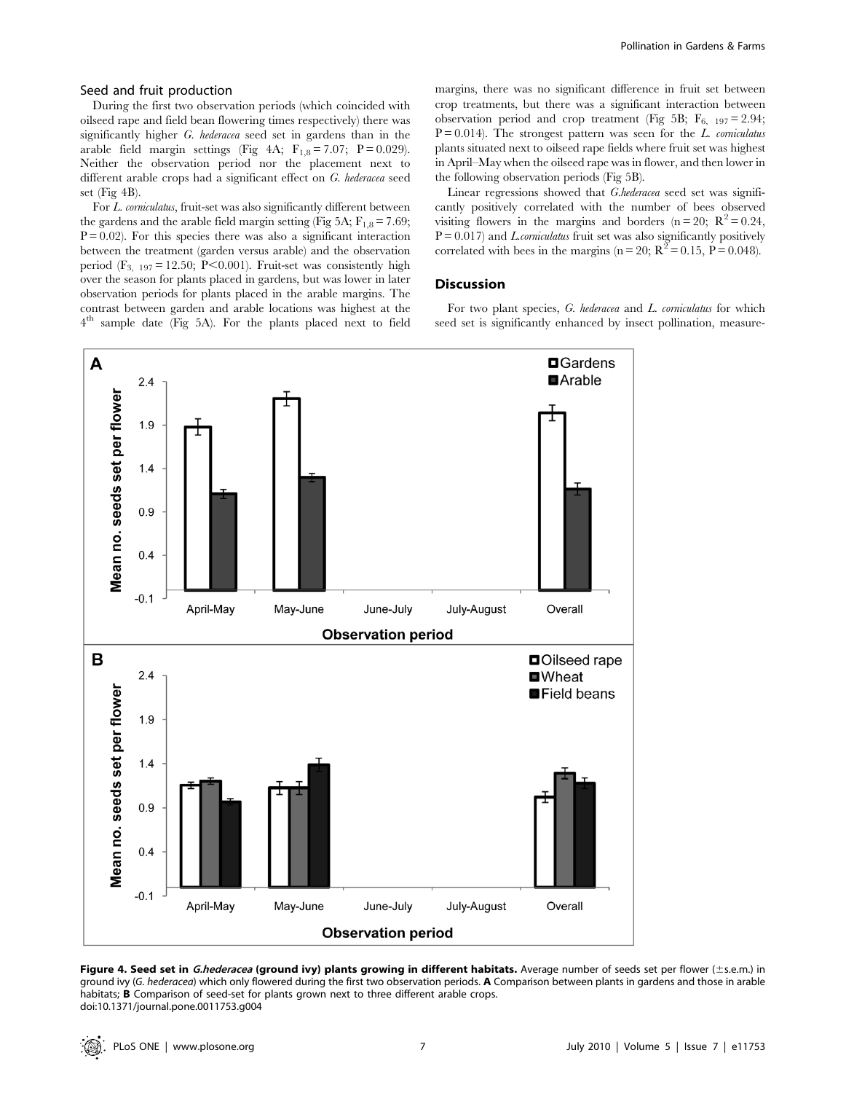## Seed and fruit production

During the first two observation periods (which coincided with oilseed rape and field bean flowering times respectively) there was significantly higher G. hederacea seed set in gardens than in the arable field margin settings (Fig 4A;  $F_{1,8} = 7.07$ ;  $P = 0.029$ ). Neither the observation period nor the placement next to different arable crops had a significant effect on G. hederacea seed set (Fig 4B).

For L. corniculatus, fruit-set was also significantly different between the gardens and the arable field margin setting (Fig 5A;  $F_{1,8} = 7.69$ ;  $P = 0.02$ . For this species there was also a significant interaction between the treatment (garden versus arable) and the observation period (F<sub>3, 197</sub> = 12.50; P<0.001). Fruit-set was consistently high over the season for plants placed in gardens, but was lower in later observation periods for plants placed in the arable margins. The contrast between garden and arable locations was highest at the 4th sample date (Fig 5A). For the plants placed next to field margins, there was no significant difference in fruit set between crop treatments, but there was a significant interaction between observation period and crop treatment (Fig 5B;  $F_{6, 197} = 2.94$ ;  $P = 0.014$ ). The strongest pattern was seen for the L. corniculatus plants situated next to oilseed rape fields where fruit set was highest in April–May when the oilseed rape was in flower, and then lower in the following observation periods (Fig 5B).

Linear regressions showed that *G.hederacea* seed set was significantly positively correlated with the number of bees observed visiting flowers in the margins and borders ( $n = 20$ ;  $R^2 = 0.24$ ,  $P = 0.017$  and *L.corniculatus* fruit set was also significantly positively correlated with bees in the margins ( $n = 20$ ;  $R^2 = 0.15$ ,  $P = 0.048$ ).

# **Discussion**

For two plant species, G. hederacea and L. corniculatus for which seed set is significantly enhanced by insect pollination, measure-

![](_page_6_Figure_8.jpeg)

Figure 4. Seed set in *G.hederacea* (ground ivy) plants growing in different habitats. Average number of seeds set per flower ( $\pm$ s.e.m.) in ground ivy (G. hederacea) which only flowered during the first two observation periods. A Comparison between plants in gardens and those in arable habitats; **B** Comparison of seed-set for plants grown next to three different arable crops. doi:10.1371/journal.pone.0011753.g004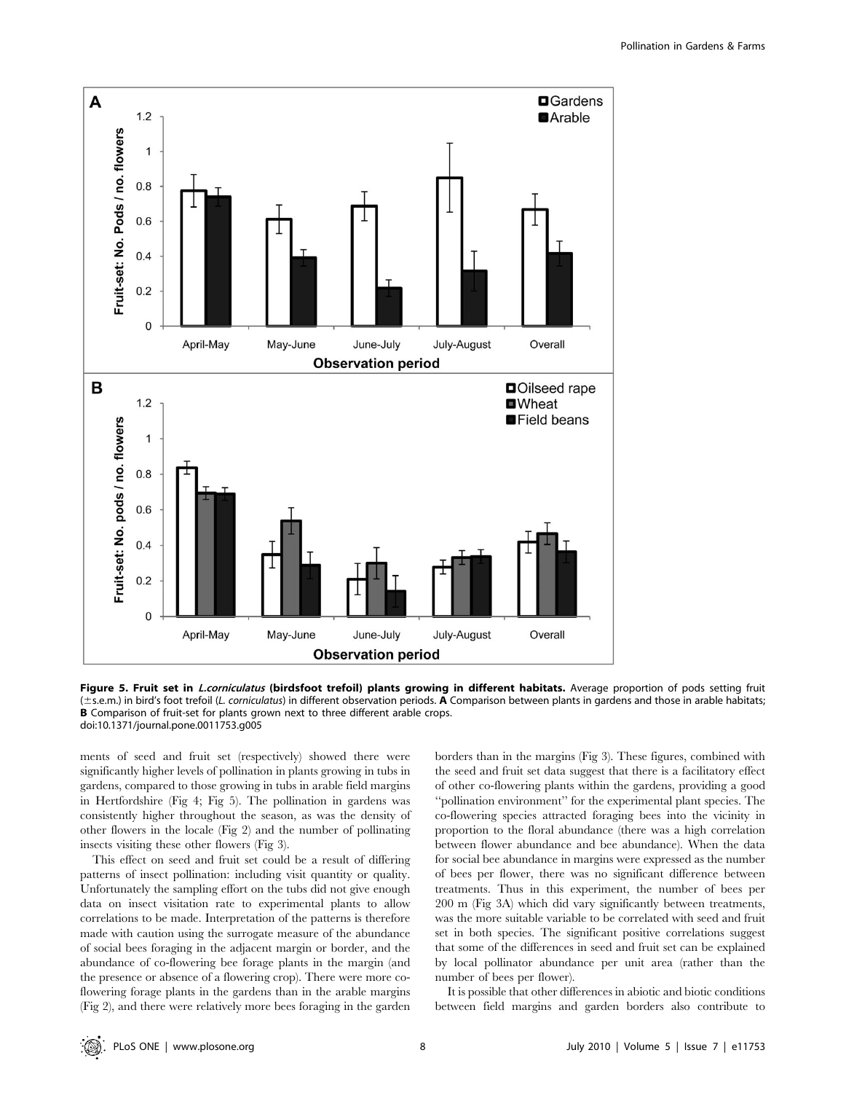![](_page_7_Figure_1.jpeg)

Figure 5. Fruit set in *L.corniculatus* (birdsfoot trefoil) plants growing in different habitats. Average proportion of pods setting fruit (±s.e.m.) in bird's foot trefoil (L. corniculatus) in different observation periods. A Comparison between plants in gardens and those in arable habitats; **B** Comparison of fruit-set for plants grown next to three different arable crops. doi:10.1371/journal.pone.0011753.g005

ments of seed and fruit set (respectively) showed there were significantly higher levels of pollination in plants growing in tubs in gardens, compared to those growing in tubs in arable field margins in Hertfordshire (Fig 4; Fig 5). The pollination in gardens was consistently higher throughout the season, as was the density of other flowers in the locale (Fig 2) and the number of pollinating insects visiting these other flowers (Fig 3).

This effect on seed and fruit set could be a result of differing patterns of insect pollination: including visit quantity or quality. Unfortunately the sampling effort on the tubs did not give enough data on insect visitation rate to experimental plants to allow correlations to be made. Interpretation of the patterns is therefore made with caution using the surrogate measure of the abundance of social bees foraging in the adjacent margin or border, and the abundance of co-flowering bee forage plants in the margin (and the presence or absence of a flowering crop). There were more coflowering forage plants in the gardens than in the arable margins (Fig 2), and there were relatively more bees foraging in the garden borders than in the margins (Fig 3). These figures, combined with the seed and fruit set data suggest that there is a facilitatory effect of other co-flowering plants within the gardens, providing a good ''pollination environment'' for the experimental plant species. The co-flowering species attracted foraging bees into the vicinity in proportion to the floral abundance (there was a high correlation between flower abundance and bee abundance). When the data for social bee abundance in margins were expressed as the number of bees per flower, there was no significant difference between treatments. Thus in this experiment, the number of bees per 200 m (Fig 3A) which did vary significantly between treatments, was the more suitable variable to be correlated with seed and fruit set in both species. The significant positive correlations suggest that some of the differences in seed and fruit set can be explained by local pollinator abundance per unit area (rather than the number of bees per flower).

It is possible that other differences in abiotic and biotic conditions between field margins and garden borders also contribute to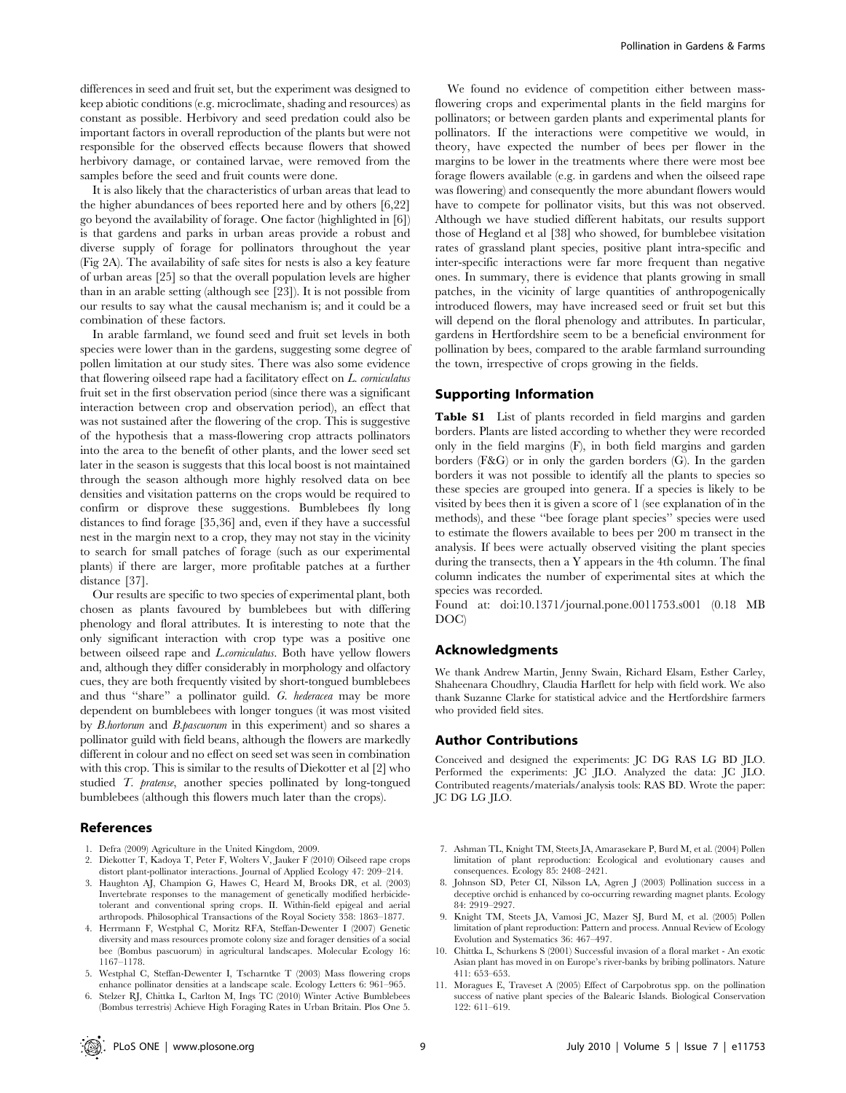differences in seed and fruit set, but the experiment was designed to keep abiotic conditions (e.g. microclimate, shading and resources) as constant as possible. Herbivory and seed predation could also be important factors in overall reproduction of the plants but were not responsible for the observed effects because flowers that showed herbivory damage, or contained larvae, were removed from the samples before the seed and fruit counts were done.

It is also likely that the characteristics of urban areas that lead to the higher abundances of bees reported here and by others [6,22] go beyond the availability of forage. One factor (highlighted in [6]) is that gardens and parks in urban areas provide a robust and diverse supply of forage for pollinators throughout the year (Fig 2A). The availability of safe sites for nests is also a key feature of urban areas [25] so that the overall population levels are higher than in an arable setting (although see [23]). It is not possible from our results to say what the causal mechanism is; and it could be a combination of these factors.

In arable farmland, we found seed and fruit set levels in both species were lower than in the gardens, suggesting some degree of pollen limitation at our study sites. There was also some evidence that flowering oilseed rape had a facilitatory effect on L. corniculatus fruit set in the first observation period (since there was a significant interaction between crop and observation period), an effect that was not sustained after the flowering of the crop. This is suggestive of the hypothesis that a mass-flowering crop attracts pollinators into the area to the benefit of other plants, and the lower seed set later in the season is suggests that this local boost is not maintained through the season although more highly resolved data on bee densities and visitation patterns on the crops would be required to confirm or disprove these suggestions. Bumblebees fly long distances to find forage [35,36] and, even if they have a successful nest in the margin next to a crop, they may not stay in the vicinity to search for small patches of forage (such as our experimental plants) if there are larger, more profitable patches at a further distance [37].

Our results are specific to two species of experimental plant, both chosen as plants favoured by bumblebees but with differing phenology and floral attributes. It is interesting to note that the only significant interaction with crop type was a positive one between oilseed rape and L.corniculatus. Both have yellow flowers and, although they differ considerably in morphology and olfactory cues, they are both frequently visited by short-tongued bumblebees and thus ''share'' a pollinator guild. G. hederacea may be more dependent on bumblebees with longer tongues (it was most visited by B.hortorum and B.pascuorum in this experiment) and so shares a pollinator guild with field beans, although the flowers are markedly different in colour and no effect on seed set was seen in combination with this crop. This is similar to the results of Diekotter et al [2] who studied T. pratense, another species pollinated by long-tongued bumblebees (although this flowers much later than the crops).

## References

- 1. Defra (2009) Agriculture in the United Kingdom, 2009.
- 2. Diekotter T, Kadoya T, Peter F, Wolters V, Jauker F (2010) Oilseed rape crops distort plant-pollinator interactions. Journal of Applied Ecology 47: 209–214.
- 3. Haughton AJ, Champion G, Hawes C, Heard M, Brooks DR, et al. (2003) Invertebrate responses to the management of genetically modified herbicidetolerant and conventional spring crops. II. Within-field epigeal and aerial arthropods. Philosophical Transactions of the Royal Society 358: 1863–1877.
- 4. Herrmann F, Westphal C, Moritz RFA, Steffan-Dewenter I (2007) Genetic diversity and mass resources promote colony size and forager densities of a social bee (Bombus pascuorum) in agricultural landscapes. Molecular Ecology 16: 1167–1178.
- 5. Westphal C, Steffan-Dewenter I, Tscharntke T (2003) Mass flowering crops enhance pollinator densities at a landscape scale. Ecology Letters 6: 961–965.
- 6. Stelzer RJ, Chittka L, Carlton M, Ings TC (2010) Winter Active Bumblebees (Bombus terrestris) Achieve High Foraging Rates in Urban Britain. Plos One 5.

We found no evidence of competition either between massflowering crops and experimental plants in the field margins for pollinators; or between garden plants and experimental plants for pollinators. If the interactions were competitive we would, in theory, have expected the number of bees per flower in the margins to be lower in the treatments where there were most bee forage flowers available (e.g. in gardens and when the oilseed rape was flowering) and consequently the more abundant flowers would have to compete for pollinator visits, but this was not observed. Although we have studied different habitats, our results support those of Hegland et al [38] who showed, for bumblebee visitation rates of grassland plant species, positive plant intra-specific and inter-specific interactions were far more frequent than negative ones. In summary, there is evidence that plants growing in small patches, in the vicinity of large quantities of anthropogenically introduced flowers, may have increased seed or fruit set but this will depend on the floral phenology and attributes. In particular, gardens in Hertfordshire seem to be a beneficial environment for pollination by bees, compared to the arable farmland surrounding the town, irrespective of crops growing in the fields.

# Supporting Information

Table S1 List of plants recorded in field margins and garden borders. Plants are listed according to whether they were recorded only in the field margins (F), in both field margins and garden borders (F&G) or in only the garden borders (G). In the garden borders it was not possible to identify all the plants to species so these species are grouped into genera. If a species is likely to be visited by bees then it is given a score of 1 (see explanation of in the methods), and these ''bee forage plant species'' species were used to estimate the flowers available to bees per 200 m transect in the analysis. If bees were actually observed visiting the plant species during the transects, then a Y appears in the 4th column. The final column indicates the number of experimental sites at which the species was recorded.

Found at: doi:10.1371/journal.pone.0011753.s001 (0.18 MB DOC)

#### Acknowledgments

We thank Andrew Martin, Jenny Swain, Richard Elsam, Esther Carley, Shaheenara Choudhry, Claudia Harflett for help with field work. We also thank Suzanne Clarke for statistical advice and the Hertfordshire farmers who provided field sites.

## Author Contributions

Conceived and designed the experiments: JC DG RAS LG BD JLO. Performed the experiments: JC JLO. Analyzed the data: JC JLO. Contributed reagents/materials/analysis tools: RAS BD. Wrote the paper: JC DG LG JLO.

- 7. Ashman TL, Knight TM, Steets JA, Amarasekare P, Burd M, et al. (2004) Pollen limitation of plant reproduction: Ecological and evolutionary causes and consequences. Ecology 85: 2408–2421.
- 8. Johnson SD, Peter CI, Nilsson LA, Agren J (2003) Pollination success in a deceptive orchid is enhanced by co-occurring rewarding magnet plants. Ecology 84: 2919–2927.
- 9. Knight TM, Steets JA, Vamosi JC, Mazer SJ, Burd M, et al. (2005) Pollen limitation of plant reproduction: Pattern and process. Annual Review of Ecology Evolution and Systematics 36: 467–497.
- 10. Chittka L, Schurkens S (2001) Successful invasion of a floral market An exotic Asian plant has moved in on Europe's river-banks by bribing pollinators. Nature 411: 653–653.
- 11. Moragues E, Traveset A (2005) Effect of Carpobrotus spp. on the pollination success of native plant species of the Balearic Islands. Biological Conservation 122: 611–619.